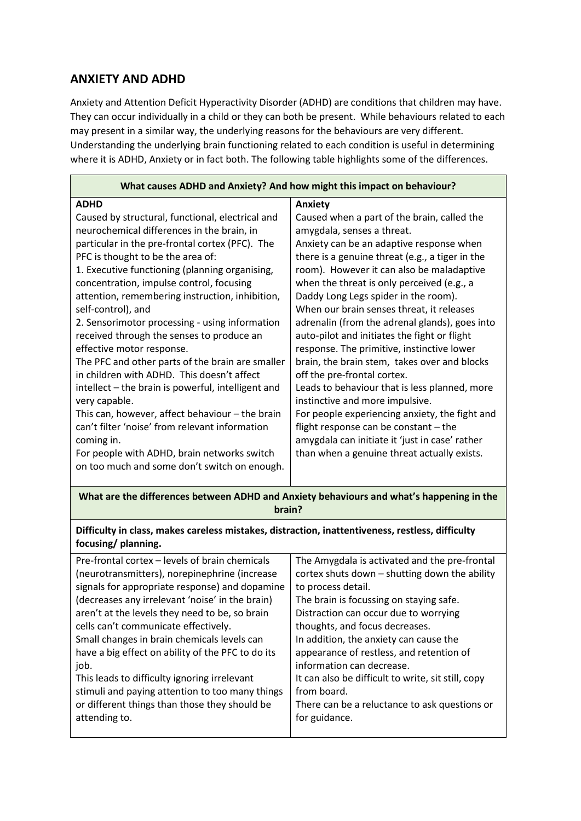## **ANXIETY AND ADHD**

Anxiety and Attention Deficit Hyperactivity Disorder (ADHD) are conditions that children may have. They can occur individually in a child or they can both be present. While behaviours related to each may present in a similar way, the underlying reasons for the behaviours are very different. Understanding the underlying brain functioning related to each condition is useful in determining where it is ADHD, Anxiety or in fact both. The following table highlights some of the differences.

**What are the differences between ADHD and Anxiety behaviours and what's happening in the brain?**

## **Difficulty in class, makes careless mistakes, distraction, inattentiveness, restless, difficulty focusing/ planning.**

| Pre-frontal cortex – levels of brain chemicals    | The Amygdala is activated and the pre-frontal      |
|---------------------------------------------------|----------------------------------------------------|
| (neurotransmitters), norepinephrine (increase     | cortex shuts down - shutting down the ability      |
| signals for appropriate response) and dopamine    | to process detail.                                 |
| (decreases any irrelevant 'noise' in the brain)   | The brain is focussing on staying safe.            |
| aren't at the levels they need to be, so brain    | Distraction can occur due to worrying              |
| cells can't communicate effectively.              | thoughts, and focus decreases.                     |
| Small changes in brain chemicals levels can       | In addition, the anxiety can cause the             |
| have a big effect on ability of the PFC to do its | appearance of restless, and retention of           |
| job.                                              | information can decrease.                          |
| This leads to difficulty ignoring irrelevant      | It can also be difficult to write, sit still, copy |
| stimuli and paying attention to too many things   | from board.                                        |
| or different things than those they should be     | There can be a reluctance to ask questions or      |
| attending to.                                     | for guidance.                                      |
|                                                   |                                                    |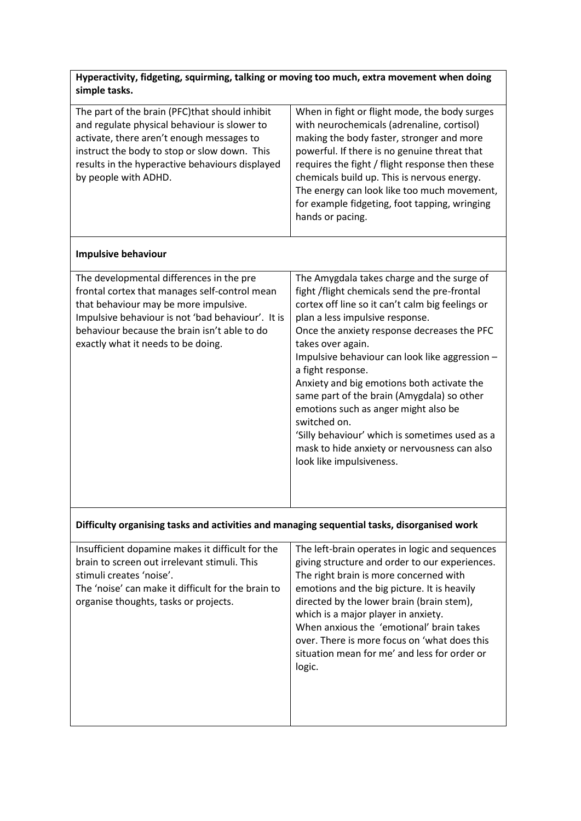| Hyperactivity, fidgeting, squirming, talking or moving too much, extra movement when doing |  |
|--------------------------------------------------------------------------------------------|--|
| simple tasks.                                                                              |  |

| The part of the brain (PFC) that should inhibit<br>and regulate physical behaviour is slower to<br>activate, there aren't enough messages to<br>instruct the body to stop or slow down. This<br>results in the hyperactive behaviours displayed<br>by people with ADHD.       | When in fight or flight mode, the body surges<br>with neurochemicals (adrenaline, cortisol)<br>making the body faster, stronger and more<br>powerful. If there is no genuine threat that<br>requires the fight / flight response then these<br>chemicals build up. This is nervous energy.<br>The energy can look like too much movement,<br>for example fidgeting, foot tapping, wringing<br>hands or pacing.                                                                                                                                                                                                 |  |
|-------------------------------------------------------------------------------------------------------------------------------------------------------------------------------------------------------------------------------------------------------------------------------|----------------------------------------------------------------------------------------------------------------------------------------------------------------------------------------------------------------------------------------------------------------------------------------------------------------------------------------------------------------------------------------------------------------------------------------------------------------------------------------------------------------------------------------------------------------------------------------------------------------|--|
| <b>Impulsive behaviour</b>                                                                                                                                                                                                                                                    |                                                                                                                                                                                                                                                                                                                                                                                                                                                                                                                                                                                                                |  |
| The developmental differences in the pre<br>frontal cortex that manages self-control mean<br>that behaviour may be more impulsive.<br>Impulsive behaviour is not 'bad behaviour'. It is<br>behaviour because the brain isn't able to do<br>exactly what it needs to be doing. | The Amygdala takes charge and the surge of<br>fight /flight chemicals send the pre-frontal<br>cortex off line so it can't calm big feelings or<br>plan a less impulsive response.<br>Once the anxiety response decreases the PFC<br>takes over again.<br>Impulsive behaviour can look like aggression -<br>a fight response.<br>Anxiety and big emotions both activate the<br>same part of the brain (Amygdala) so other<br>emotions such as anger might also be<br>switched on.<br>'Silly behaviour' which is sometimes used as a<br>mask to hide anxiety or nervousness can also<br>look like impulsiveness. |  |
| Difficulty organising tasks and activities and managing sequential tasks, disorganised work                                                                                                                                                                                   |                                                                                                                                                                                                                                                                                                                                                                                                                                                                                                                                                                                                                |  |
| Insufficient dopamine makes it difficult for the                                                                                                                                                                                                                              | The left-brain operates in logic and sequences                                                                                                                                                                                                                                                                                                                                                                                                                                                                                                                                                                 |  |

| Insufficient dopamine makes it difficult for the   | The left-brain operates in logic and sequences |
|----------------------------------------------------|------------------------------------------------|
| brain to screen out irrelevant stimuli. This       | giving structure and order to our experiences. |
| stimuli creates 'noise'.                           | The right brain is more concerned with         |
| The 'noise' can make it difficult for the brain to | emotions and the big picture. It is heavily    |
| organise thoughts, tasks or projects.              | directed by the lower brain (brain stem),      |
|                                                    | which is a major player in anxiety.            |
|                                                    | When anxious the 'emotional' brain takes       |
|                                                    | over. There is more focus on 'what does this   |
|                                                    | situation mean for me' and less for order or   |
|                                                    | logic.                                         |
|                                                    |                                                |
|                                                    |                                                |
|                                                    |                                                |
|                                                    |                                                |